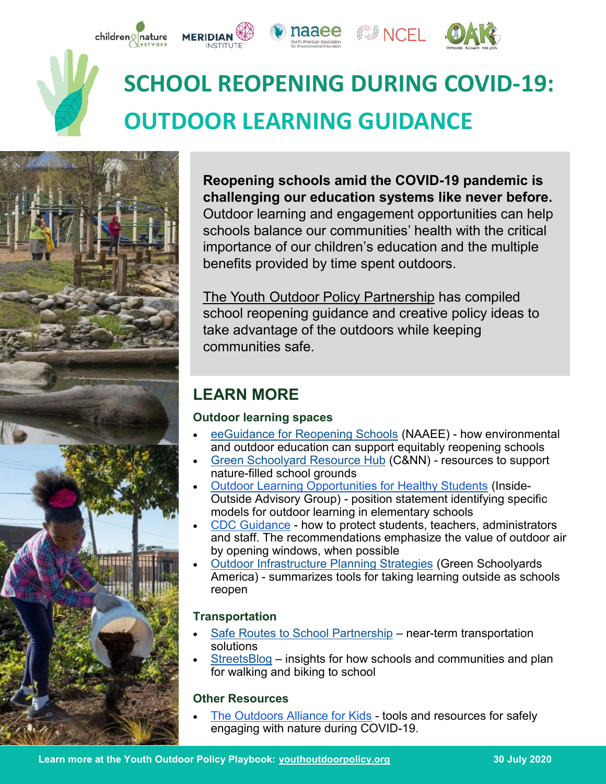

# **SCHOOL REOPENING DURING COVID-19: OUTDOOR LEARNING GUIDANCE**



**Reopening schools amid the COVID-19 pandemic is challenging our education systems like never before.**  Outdoor learning and engagement opportunities can help schools balance our communities' health with the critical importance of our children's education and the multiple benefits provided by time spent outdoors.

 $\mathbb{CP}$  NCFL.

[The Youth Outdoor Policy Partnership](https://youthoutdoorpolicy.org/) has compiled school reopening guidance and creative policy ideas to take advantage of the outdoors while keeping communities safe.

## **LEARN MORE**

**MERIDIAN** 

#### **Outdoor learning spaces**

- [eeGuidance for Reopening Schools \(](https://naaee.org/eepro/resources/eeguidance-reopening-schools)NAAEE) how environmental and outdoor education can support equitably reopening schools
- [Green Schoolyard Resource Hub](https://www.childrenandnature.org/initiatives/schoolyards/) (C&NN) resources to support nature-filled school grounds
- [Outdoor Learning Opportunities for Healthy Students \(](https://drive.google.com/file/d/1daTpAaPFXb2S5pwLhacqrOVe68J3kp9q/view?usp=sharing)Inside-Outside Advisory Group) - position statement identifying specific models for outdoor learning in elementary schools
- [CDC Guidance](https://www.cdc.gov/coronavirus/2019-ncov/community/schools-childcare/schools.html) how to protect students, teachers, administrators and staff. The recommendations emphasize the value of outdoor air by opening windows, when possible
- [Outdoor Infrastructure Planning Strategies](https://www.greenschoolyards.org/outdoor-infrastructure) (Green Schoolyards America) - summarizes tools for taking learning outside as schools reopen

#### **Transportation**

- [Safe Routes to School Partnership](https://saferoutespartnership.org/blog/advocating-active-transportation-time-covid-19) near-term transportation solutions
- [StreetsBlog](https://usa.streetsblog.org/2020/07/20/how-to-build-safe-routes-to-school-during-covid-19/) insights for how schools and communities and plan for walking and biking to school

#### **Other Resources**

[The Outdoors Alliance for Kids](https://outdoorsallianceforkids.org/2020/04/02/oak-member-resources-for-safely-engaging-with-nature-during-covid-19/) - tools and resources for safely engaging with nature during COVID-19.